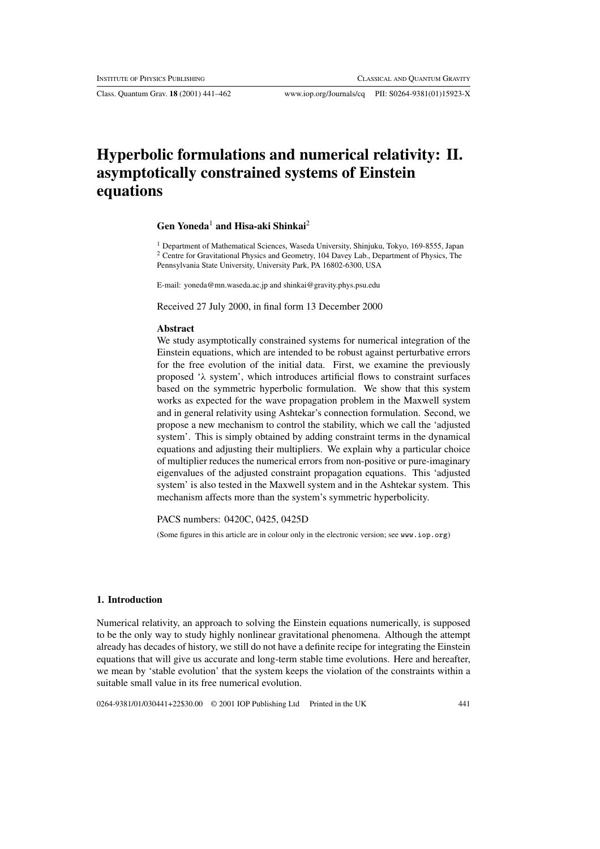Class. Quantum Grav. **18** (2001) 441–462 www.iop.org/Journals/cq PII: S0264-9381(01)15923-X

# **Hyperbolic formulations and numerical relativity: II. asymptotically constrained systems of Einstein equations**

# **Gen Yoneda**<sup>1</sup> **and Hisa-aki Shinkai**<sup>2</sup>

<sup>1</sup> Department of Mathematical Sciences, Waseda University, Shinjuku, Tokyo, 169-8555, Japan <sup>2</sup> Centre for Gravitational Physics and Geometry, 104 Davey Lab., Department of Physics, The Pennsylvania State University, University Park, PA 16802-6300, USA

E-mail: yoneda@mn.waseda.ac.jp and shinkai@gravity.phys.psu.edu

Received 27 July 2000, in final form 13 December 2000

# **Abstract**

We study asymptotically constrained systems for numerical integration of the Einstein equations, which are intended to be robust against perturbative errors for the free evolution of the initial data. First, we examine the previously proposed ' $\lambda$  system', which introduces artificial flows to constraint surfaces based on the symmetric hyperbolic formulation. We show that this system works as expected for the wave propagation problem in the Maxwell system and in general relativity using Ashtekar's connection formulation. Second, we propose a new mechanism to control the stability, which we call the 'adjusted system'. This is simply obtained by adding constraint terms in the dynamical equations and adjusting their multipliers. We explain why a particular choice of multiplier reduces the numerical errors from non-positive or pure-imaginary eigenvalues of the adjusted constraint propagation equations. This 'adjusted system' is also tested in the Maxwell system and in the Ashtekar system. This mechanism affects more than the system's symmetric hyperbolicity.

PACS numbers: 0420C, 0425, 0425D

(Some figures in this article are in colour only in the electronic version; see www.iop.org)

## **1. Introduction**

Numerical relativity, an approach to solving the Einstein equations numerically, is supposed to be the only way to study highly nonlinear gravitational phenomena. Although the attempt already has decades of history, we still do not have a definite recipe for integrating the Einstein equations that will give us accurate and long-term stable time evolutions. Here and hereafter, we mean by 'stable evolution' that the system keeps the violation of the constraints within a suitable small value in its free numerical evolution.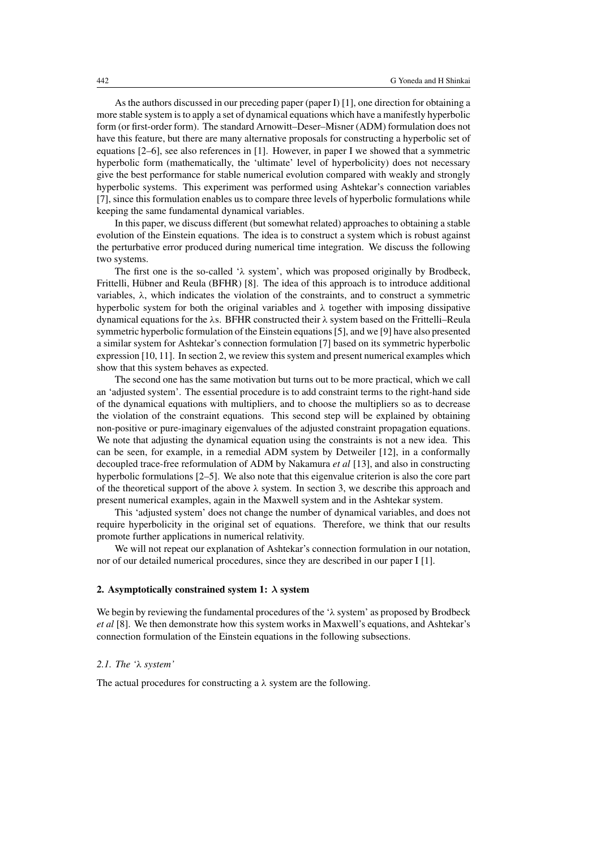As the authors discussed in our preceding paper (paper I) [1], one direction for obtaining a more stable system is to apply a set of dynamical equations which have a manifestly hyperbolic form (or first-order form). The standard Arnowitt–Deser–Misner (ADM) formulation does not have this feature, but there are many alternative proposals for constructing a hyperbolic set of equations [2–6], see also references in [1]. However, in paper I we showed that a symmetric hyperbolic form (mathematically, the 'ultimate' level of hyperbolicity) does not necessary give the best performance for stable numerical evolution compared with weakly and strongly hyperbolic systems. This experiment was performed using Ashtekar's connection variables [7], since this formulation enables us to compare three levels of hyperbolic formulations while keeping the same fundamental dynamical variables.

In this paper, we discuss different (but somewhat related) approaches to obtaining a stable evolution of the Einstein equations. The idea is to construct a system which is robust against the perturbative error produced during numerical time integration. We discuss the following two systems.

The first one is the so-called ' $\lambda$  system', which was proposed originally by Brodbeck, Frittelli, Hübner and Reula (BFHR) [8]. The idea of this approach is to introduce additional variables,  $\lambda$ , which indicates the violation of the constraints, and to construct a symmetric hyperbolic system for both the original variables and  $\lambda$  together with imposing dissipative dynamical equations for the λs. BFHR constructed their λ system based on the Frittelli–Reula symmetric hyperbolic formulation of the Einstein equations [5], and we [9] have also presented a similar system for Ashtekar's connection formulation [7] based on its symmetric hyperbolic expression [10, 11]. In section 2, we review this system and present numerical examples which show that this system behaves as expected.

The second one has the same motivation but turns out to be more practical, which we call an 'adjusted system'. The essential procedure is to add constraint terms to the right-hand side of the dynamical equations with multipliers, and to choose the multipliers so as to decrease the violation of the constraint equations. This second step will be explained by obtaining non-positive or pure-imaginary eigenvalues of the adjusted constraint propagation equations. We note that adjusting the dynamical equation using the constraints is not a new idea. This can be seen, for example, in a remedial ADM system by Detweiler [12], in a conformally decoupled trace-free reformulation of ADM by Nakamura *et al* [13], and also in constructing hyperbolic formulations [2–5]. We also note that this eigenvalue criterion is also the core part of the theoretical support of the above  $\lambda$  system. In section 3, we describe this approach and present numerical examples, again in the Maxwell system and in the Ashtekar system.

This 'adjusted system' does not change the number of dynamical variables, and does not require hyperbolicity in the original set of equations. Therefore, we think that our results promote further applications in numerical relativity.

We will not repeat our explanation of Ashtekar's connection formulation in our notation, nor of our detailed numerical procedures, since they are described in our paper I [1].

## **2. Asymptotically constrained system 1:** *λ* **system**

We begin by reviewing the fundamental procedures of the ' $\lambda$  system' as proposed by Brodbeck *et al* [8]. We then demonstrate how this system works in Maxwell's equations, and Ashtekar's connection formulation of the Einstein equations in the following subsections.

## *2.1. The '*λ *system'*

The actual procedures for constructing a  $\lambda$  system are the following.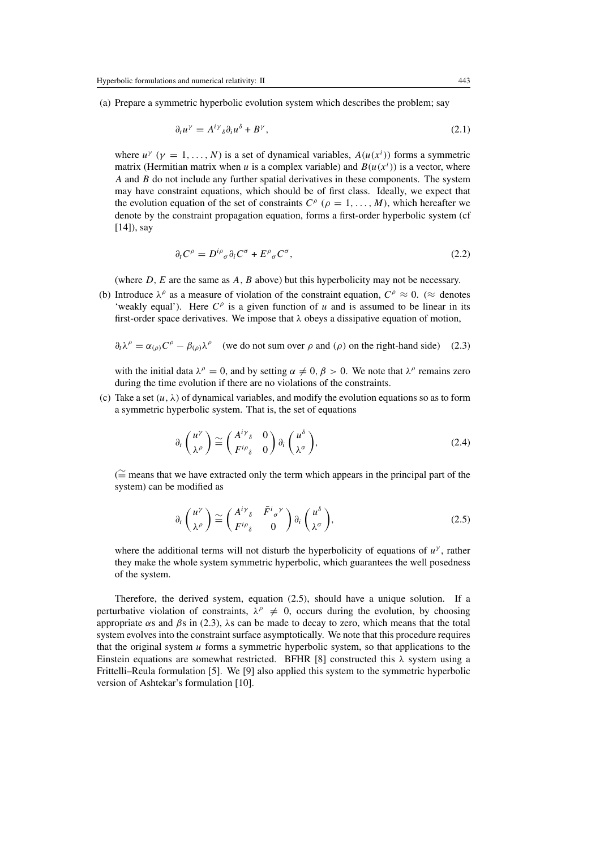(a) Prepare a symmetric hyperbolic evolution system which describes the problem; say

$$
\partial_t u^\gamma = A^{i\gamma}{}_\delta \partial_i u^\delta + B^\gamma,\tag{2.1}
$$

where  $u^{\gamma}$  ( $\gamma = 1, ..., N$ ) is a set of dynamical variables,  $A(u(x^{i}))$  forms a symmetric matrix (Hermitian matrix when u is a complex variable) and  $B(u(x^{i}))$  is a vector, where  $A$  and  $B$  do not include any further spatial derivatives in these components. The system may have constraint equations, which should be of first class. Ideally, we expect that the evolution equation of the set of constraints  $C^{\rho}$  ( $\rho = 1, \ldots, M$ ), which hereafter we denote by the constraint propagation equation, forms a first-order hyperbolic system (cf [14]), say

$$
\partial_t C^\rho = D^{i\rho}{}_\sigma \partial_i C^\sigma + E^\rho{}_\sigma C^\sigma,\tag{2.2}
$$

(where  $D$ ,  $E$  are the same as  $A$ ,  $B$  above) but this hyperbolicity may not be necessary.

(b) Introduce  $\lambda^{\rho}$  as a measure of violation of the constraint equation,  $C^{\rho} \approx 0$ . ( $\approx$  denotes 'weakly equal'). Here  $C^{\rho}$  is a given function of u and is assumed to be linear in its first-order space derivatives. We impose that  $\lambda$  obeys a dissipative equation of motion,

$$
\partial_t \lambda^\rho = \alpha_{(\rho)} C^\rho - \beta_{(\rho)} \lambda^\rho \quad \text{(we do not sum over } \rho \text{ and } (\rho) \text{ on the right-hand side)} \quad (2.3)
$$

with the initial data  $\lambda^{\rho} = 0$ , and by setting  $\alpha \neq 0, \beta > 0$ . We note that  $\lambda^{\rho}$  remains zero during the time evolution if there are no violations of the constraints.

(c) Take a set  $(u, \lambda)$  of dynamical variables, and modify the evolution equations so as to form a symmetric hyperbolic system. That is, the set of equations

$$
\partial_t \begin{pmatrix} u^{\gamma} \\ \lambda^{\rho} \end{pmatrix} \cong \begin{pmatrix} A^{i\gamma}{}_{\delta} & 0 \\ F^{i\rho}{}_{\delta} & 0 \end{pmatrix} \partial_i \begin{pmatrix} u^{\delta} \\ \lambda^{\sigma} \end{pmatrix}, \tag{2.4}
$$

( ∼= means that we have extracted only the term which appears in the principal part of the system) can be modified as

$$
\partial_t \begin{pmatrix} u^{\gamma} \\ \lambda^{\rho} \end{pmatrix} \cong \begin{pmatrix} A^{i\gamma}{}_{\delta} & \bar{F}^{i}{}_{\sigma}{}^{\gamma} \\ F^{i\rho}{}_{\delta} & 0 \end{pmatrix} \partial_i \begin{pmatrix} u^{\delta} \\ \lambda^{\sigma} \end{pmatrix},
$$
\n(2.5)

where the additional terms will not disturb the hyperbolicity of equations of  $u^{\gamma}$ , rather they make the whole system symmetric hyperbolic, which guarantees the well posedness of the system.

Therefore, the derived system, equation (2.5), should have a unique solution. If a perturbative violation of constraints,  $\lambda^{\rho} \neq 0$ , occurs during the evolution, by choosing appropriate  $\alpha$ s and  $\beta$ s in (2.3),  $\lambda$ s can be made to decay to zero, which means that the total system evolves into the constraint surface asymptotically. We note that this procedure requires that the original system  $u$  forms a symmetric hyperbolic system, so that applications to the Einstein equations are somewhat restricted. BFHR [8] constructed this  $\lambda$  system using a Frittelli–Reula formulation [5]. We [9] also applied this system to the symmetric hyperbolic version of Ashtekar's formulation [10].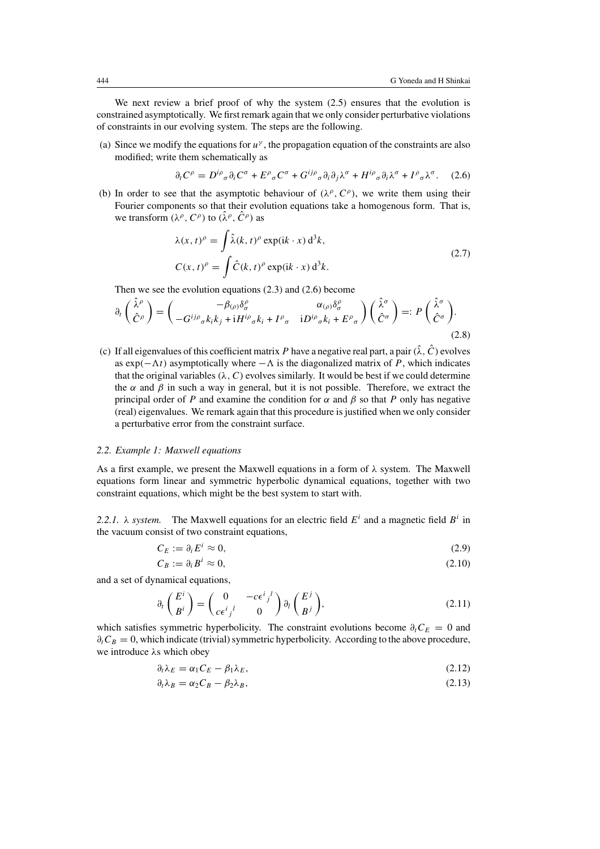We next review a brief proof of why the system  $(2.5)$  ensures that the evolution is constrained asymptotically. We first remark again that we only consider perturbative violations of constraints in our evolving system. The steps are the following.

(a) Since we modify the equations for  $u^{\gamma}$ , the propagation equation of the constraints are also modified; write them schematically as

$$
\partial_t C^\rho = D^{i\rho}{}_\sigma \partial_i C^\sigma + E^\rho{}_\sigma C^\sigma + G^{ij\rho}{}_\sigma \partial_i \partial_j \lambda^\sigma + H^{i\rho}{}_\sigma \partial_i \lambda^\sigma + I^\rho{}_\sigma \lambda^\sigma. \quad (2.6)
$$

(b) In order to see that the asymptotic behaviour of  $(\lambda^{\rho}, C^{\rho})$ , we write them using their Fourier components so that their evolution equations take a homogenous form. That is, we transform  $(\lambda^{\rho}, C^{\rho})$  to  $(\hat{\lambda}^{\rho}, \hat{C}^{\rho})$  as

$$
\lambda(x, t)^{\rho} = \int \hat{\lambda}(k, t)^{\rho} \exp(ik \cdot x) d^{3}k,
$$
  
\n
$$
C(x, t)^{\rho} = \int \hat{C}(k, t)^{\rho} \exp(ik \cdot x) d^{3}k.
$$
\n(2.7)

Then we see the evolution equations (2.3) and (2.6) become

$$
\partial_t \begin{pmatrix} \hat{\lambda}^\rho \\ \hat{C}^\rho \end{pmatrix} = \begin{pmatrix} -\beta_{(\rho)} \delta^\rho_\sigma & \alpha_{(\rho)} \delta^\rho_\sigma \\ -G^{ij\rho}{}_\sigma k_i k_j + iH^{i\rho}{}_\sigma k_i + I^\rho{}_\sigma & iD^{i\rho}{}_\sigma k_i + E^\rho{}_\sigma \end{pmatrix} \begin{pmatrix} \hat{\lambda}^\sigma \\ \hat{C}^\sigma \end{pmatrix} =: P \begin{pmatrix} \hat{\lambda}^\sigma \\ \hat{C}^\sigma \end{pmatrix}.
$$
\n(2.8)

(c) If all eigenvalues of this coefficient matrix P have a negative real part, a pair  $(\hat{\lambda}, \hat{C})$  evolves as  $exp(-\Lambda t)$  asymptotically where  $-\Lambda$  is the diagonalized matrix of P, which indicates that the original variables  $(\lambda, C)$  evolves similarly. It would be best if we could determine the  $\alpha$  and  $\beta$  in such a way in general, but it is not possible. Therefore, we extract the principal order of P and examine the condition for  $\alpha$  and  $\beta$  so that P only has negative (real) eigenvalues. We remark again that this procedure is justified when we only consider a perturbative error from the constraint surface.

#### *2.2. Example 1: Maxwell equations*

As a first example, we present the Maxwell equations in a form of  $\lambda$  system. The Maxwell equations form linear and symmetric hyperbolic dynamical equations, together with two constraint equations, which might be the best system to start with.

2.2.1.  $\lambda$  *system.* The Maxwell equations for an electric field  $E^i$  and a magnetic field  $B^i$  in the vacuum consist of two constraint equations,

$$
C_E := \partial_i E^i \approx 0,\tag{2.9}
$$

$$
C_B := \partial_i B^i \approx 0,\tag{2.10}
$$

and a set of dynamical equations,

$$
\partial_t \begin{pmatrix} E^i \\ B^i \end{pmatrix} = \begin{pmatrix} 0 & -c\epsilon^i{}_j{}^l \\ c\epsilon^i{}_j{}^l & 0 \end{pmatrix} \partial_l \begin{pmatrix} E^j \\ B^j \end{pmatrix}, \tag{2.11}
$$

which satisfies symmetric hyperbolicity. The constraint evolutions become  $\partial_t C_E = 0$  and  $\partial_t C_B = 0$ , which indicate (trivial) symmetric hyperbolicity. According to the above procedure, we introduce λs which obey

$$
\partial_t \lambda_E = \alpha_1 C_E - \beta_1 \lambda_E, \tag{2.12}
$$

$$
\partial_t \lambda_B = \alpha_2 C_B - \beta_2 \lambda_B, \tag{2.13}
$$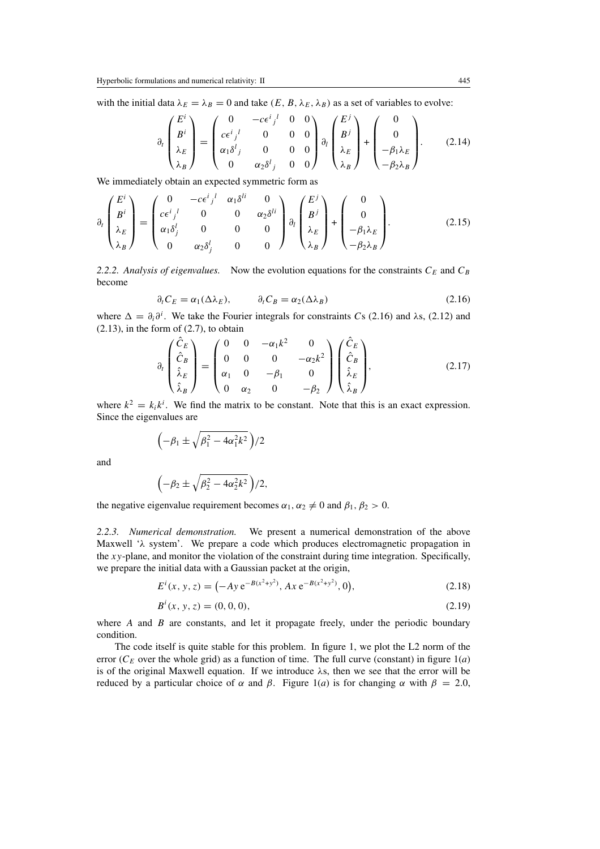with the initial data  $\lambda_E = \lambda_B = 0$  and take  $(E, B, \lambda_E, \lambda_B)$  as a set of variables to evolve:

$$
\partial_t \begin{pmatrix} E^i \\ B^i \\ \lambda_E \\ \lambda_B \end{pmatrix} = \begin{pmatrix} 0 & -c\epsilon^i{}_j{}^l & 0 & 0 \\ c\epsilon^i{}_j{}^l & 0 & 0 & 0 \\ \alpha_1 \delta^l{}_j & 0 & 0 & 0 \\ 0 & \alpha_2 \delta^l{}_j & 0 & 0 \end{pmatrix} \partial_t \begin{pmatrix} E^j \\ B^j \\ \lambda_E \\ \lambda_B \end{pmatrix} + \begin{pmatrix} 0 \\ 0 \\ -\beta_1 \lambda_E \\ -\beta_2 \lambda_B \end{pmatrix} .
$$
 (2.14)

We immediately obtain an expected symmetric form as

$$
\partial_t \begin{pmatrix} E^i \\ B^i \\ \lambda_E \\ \lambda_B \end{pmatrix} = \begin{pmatrix} 0 & -c\epsilon^i{}_j{}^l & \alpha_1 \delta^{li} & 0 \\ c\epsilon^i{}_j{}^l & 0 & 0 & \alpha_2 \delta^{li} \\ \alpha_1 \delta^l_j & 0 & 0 & 0 \\ 0 & \alpha_2 \delta^l_j & 0 & 0 \end{pmatrix} \partial_t \begin{pmatrix} E^j \\ B^j \\ \lambda_E \\ \lambda_B \end{pmatrix} + \begin{pmatrix} 0 \\ 0 \\ -\beta_1 \lambda_E \\ -\beta_2 \lambda_B \end{pmatrix} .
$$
 (2.15)

2.2.2. Analysis of eigenvalues. Now the evolution equations for the constraints  $C_E$  and  $C_B$ become

$$
\partial_t C_E = \alpha_1(\Delta \lambda_E), \qquad \partial_t C_B = \alpha_2(\Delta \lambda_B) \tag{2.16}
$$

where  $\Delta = \partial_i \partial^i$ . We take the Fourier integrals for constraints Cs (2.16) and  $\lambda$ s, (2.12) and  $(2.13)$ , in the form of  $(2.7)$ , to obtain

$$
\partial_t \begin{pmatrix} \hat{C}_E \\ \hat{C}_B \\ \hat{\lambda}_E \\ \hat{\lambda}_B \end{pmatrix} = \begin{pmatrix} 0 & 0 & -\alpha_1 k^2 & 0 \\ 0 & 0 & 0 & -\alpha_2 k^2 \\ \alpha_1 & 0 & -\beta_1 & 0 \\ 0 & \alpha_2 & 0 & -\beta_2 \end{pmatrix} \begin{pmatrix} \hat{C}_E \\ \hat{C}_B \\ \hat{\lambda}_E \\ \hat{\lambda}_B \end{pmatrix},
$$
(2.17)

where  $k^2 = k_i k^i$ . We find the matrix to be constant. Note that this is an exact expression. Since the eigenvalues are

$$
\left(-\beta_1 \pm \sqrt{\beta_1^2 - 4\alpha_1^2 k^2}\right)/2
$$

and

$$
\left(-\beta_2 \pm \sqrt{\beta_2^2 - 4\alpha_2^2 k^2}\right)/2,
$$

the negative eigenvalue requirement becomes  $\alpha_1, \alpha_2 \neq 0$  and  $\beta_1, \beta_2 > 0$ .

*2.2.3. Numerical demonstration.* We present a numerical demonstration of the above Maxwell 'λ system'. We prepare a code which produces electromagnetic propagation in the xy-plane, and monitor the violation of the constraint during time integration. Specifically, we prepare the initial data with a Gaussian packet at the origin,

$$
E^{i}(x, y, z) = (-Ay e^{-B(x^{2}+y^{2})}, Ax e^{-B(x^{2}+y^{2})}, 0),
$$
\n(2.18)

$$
B^{i}(x, y, z) = (0, 0, 0), \tag{2.19}
$$

where  $A$  and  $B$  are constants, and let it propagate freely, under the periodic boundary condition.

The code itself is quite stable for this problem. In figure 1, we plot the L2 norm of the error ( $C_E$  over the whole grid) as a function of time. The full curve (constant) in figure  $1(a)$ is of the original Maxwell equation. If we introduce λs, then we see that the error will be reduced by a particular choice of α and β. Figure 1(*a*) is for changing α with  $β = 2.0$ ,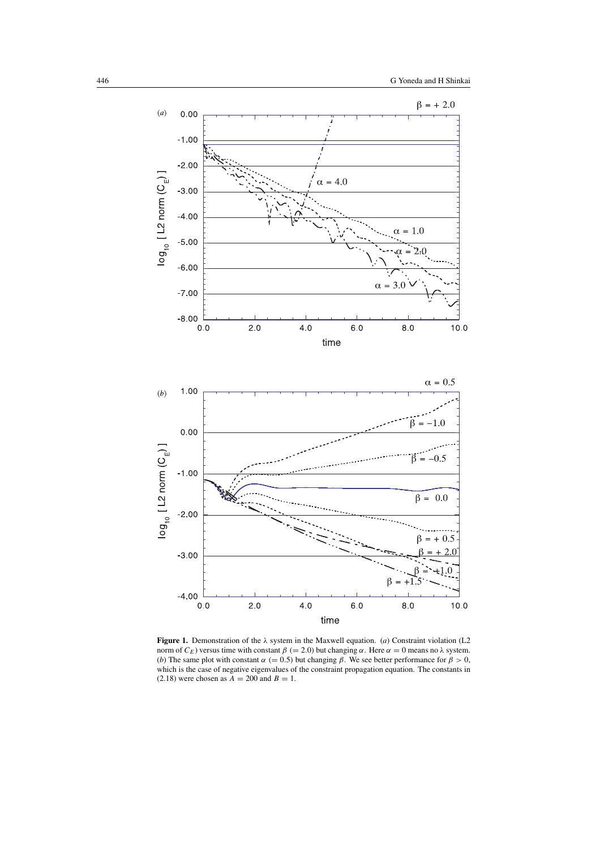

**Figure 1.** Demonstration of the λ system in the Maxwell equation. (*a*) Constraint violation (L2 norm of  $C_E$ ) versus time with constant  $β (= 2.0)$  but changing α. Here  $α = 0$  means no λ system. (*b*) The same plot with constant  $\alpha$  (= 0.5) but changing  $\beta$ . We see better performance for  $\beta > 0$ , which is the case of negative eigenvalues of the constraint propagation equation. The constants in  $(2.18)$  were chosen as  $A = 200$  and  $B = 1$ .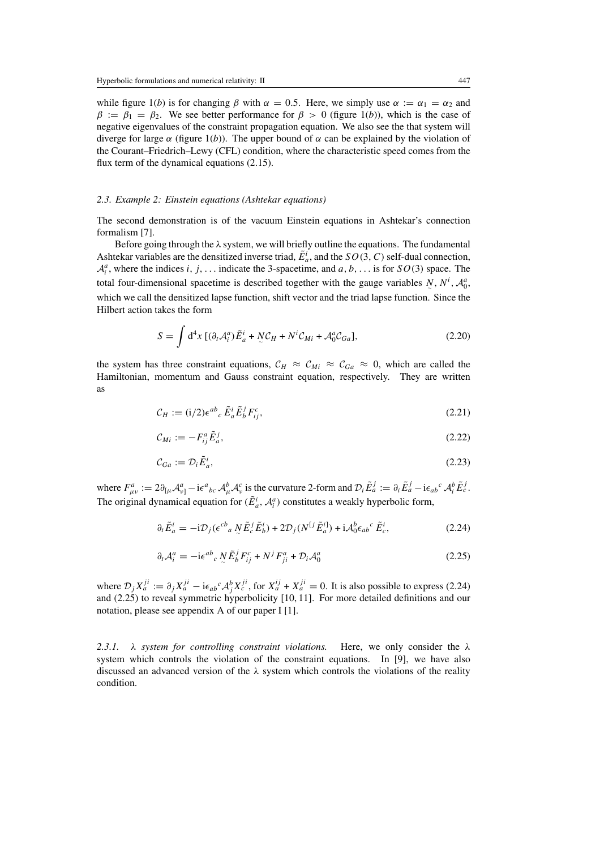while figure 1(*b*) is for changing  $\beta$  with  $\alpha = 0.5$ . Here, we simply use  $\alpha := \alpha_1 = \alpha_2$  and  $\beta := \beta_1 = \beta_2$ . We see better performance for  $\beta > 0$  (figure 1(*b*)), which is the case of negative eigenvalues of the constraint propagation equation. We also see the that system will diverge for large  $\alpha$  (figure 1(*b*)). The upper bound of  $\alpha$  can be explained by the violation of the Courant–Friedrich–Lewy (CFL) condition, where the characteristic speed comes from the flux term of the dynamical equations (2.15).

#### *2.3. Example 2: Einstein equations (Ashtekar equations)*

The second demonstration is of the vacuum Einstein equations in Ashtekar's connection formalism [7].

Before going through the  $\lambda$  system, we will briefly outline the equations. The fundamental Ashtekar variables are the densitized inverse triad,  $\tilde{E}_a^i$ , and the  $SO(3, C)$  self-dual connection,  $A_i^a$ , where the indices i, j, ... indicate the 3-spacetime, and a, b, ... is for  $SO(3)$  space. The total four-dimensional spacetime is described together with the gauge variables  $N$ ,  $N^i$ ,  $\mathcal{A}_0^a$ , which we call the densitized lapse function, shift vector and the triad lapse function. Since the Hilbert action takes the form

$$
S = \int d^4x \left[ (\partial_t \mathcal{A}_i^a) \tilde{E}_a^i + N \mathcal{C}_H + N^i \mathcal{C}_{Mi} + \mathcal{A}_0^a \mathcal{C}_{Ga} \right],
$$
 (2.20)

the system has three constraint equations,  $C_H \approx C_{Mi} \approx C_{Ga} \approx 0$ , which are called the Hamiltonian, momentum and Gauss constraint equation, respectively. They are written as

$$
\mathcal{C}_H := (i/2) \epsilon^{ab}{}_c \, \tilde{E}^i_a \tilde{E}^j_b F^c_{ij},\tag{2.21}
$$

$$
\mathcal{C}_{Mi} := -F_{ij}^a \tilde{E}_a^j,\tag{2.22}
$$

$$
\mathcal{C}_{Ga} := \mathcal{D}_i \tilde{E}_a^i,\tag{2.23}
$$

where  $F^a_{\mu\nu} := 2\partial_{[\mu}A^a_{\nu]} - i\epsilon^a{}_{bc} A^b_{\mu}A^c_{\nu}$  is the curvature 2-form and  $\mathcal{D}_i\tilde{E}^j_a := \partial_i\tilde{E}^j_a - i\epsilon_{ab}{}^c A^b_i\tilde{E}^j_c$ . The original dynamical equation for  $(\tilde{E}_a^i, A_i^a)$  constitutes a weakly hyperbolic form,

$$
\partial_t \tilde{E}_a^i = -i \mathcal{D}_j (\epsilon^{cb}{}_a \, N \tilde{E}_c^j \tilde{E}_b^i) + 2 \mathcal{D}_j (N^{[j} \tilde{E}_a^i) + i \mathcal{A}_0^b \epsilon_{ab}^c \, \tilde{E}_c^i, \tag{2.24}
$$

$$
\partial_t \mathcal{A}_i^a = -i \epsilon^{ab}{}_c \, N \tilde{E}_b^j F_{ij}^c + N^j F_{ji}^a + \mathcal{D}_i \mathcal{A}_0^a \tag{2.25}
$$

where  $\mathcal{D}_j X_a^{ji} := \partial_j X_a^{ji} - i \epsilon_{ab}{}^c \mathcal{A}_j^b X_c^{ji}$ , for  $X_a^{ij} + X_a^{ji} = 0$ . It is also possible to express (2.24) and (2.25) to reveal symmetric hyperbolicity [10, 11]. For more detailed definitions and our notation, please see appendix A of our paper I [1].

*2.3.1.* λ *system for controlling constraint violations.* Here, we only consider the λ system which controls the violation of the constraint equations. In [9], we have also discussed an advanced version of the  $\lambda$  system which controls the violations of the reality condition.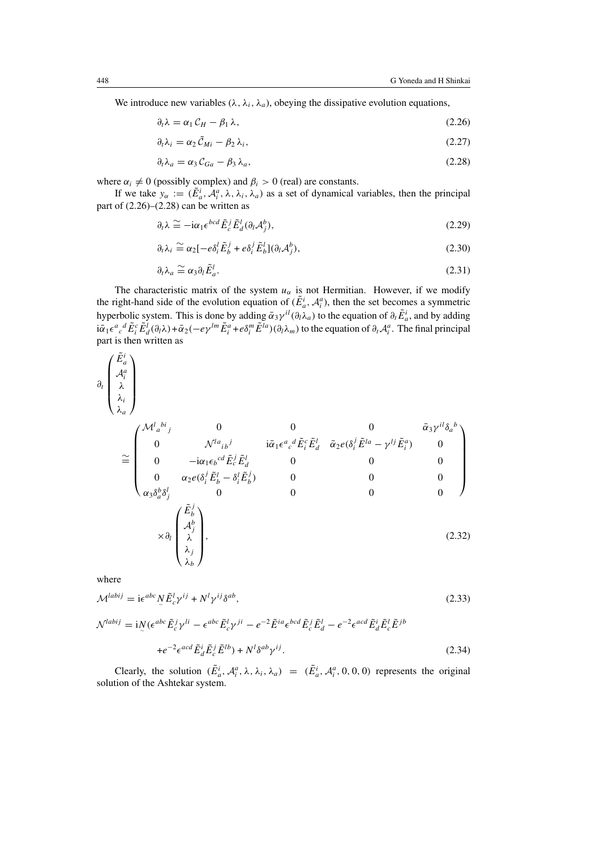We introduce new variables ( $\lambda$ ,  $\lambda$ <sub>i</sub>,  $\lambda$ <sub>a</sub>), obeying the dissipative evolution equations,

$$
\partial_t \lambda = \alpha_1 C_H - \beta_1 \lambda, \tag{2.26}
$$

$$
\partial_t \lambda_i = \alpha_2 \tilde{C}_{Mi} - \beta_2 \lambda_i, \qquad (2.27)
$$

$$
\partial_t \lambda_a = \alpha_3 C_{Ga} - \beta_3 \lambda_a, \tag{2.28}
$$

where  $\alpha_i \neq 0$  (possibly complex) and  $\beta_i > 0$  (real) are constants.

If we take  $y_\alpha := (\tilde{E}_a^i, \tilde{\mathcal{A}}_i^a, \lambda, \lambda_i, \lambda_a)$  as a set of dynamical variables, then the principal part of  $(2.26)$ – $(2.28)$  can be written as

$$
\partial_t \lambda \cong -i\alpha_1 \epsilon^{bcd} \tilde{E}_c^j \tilde{E}_d^l (\partial_l \mathcal{A}_j^b), \tag{2.29}
$$

$$
\partial_t \lambda_i \cong \alpha_2 [-e\delta_i^l \tilde{E}_b^j + e\delta_i^j \tilde{E}_b^l](\partial_l \mathcal{A}_j^b), \tag{2.30}
$$

$$
\partial_t \lambda_a \cong \alpha_3 \partial_t \tilde{E}_a^l. \tag{2.31}
$$

The characteristic matrix of the system  $u_\alpha$  is not Hermitian. However, if we modify the right-hand side of the evolution equation of  $(\tilde{E}_a^i, \mathcal{A}_i^a)$ , then the set becomes a symmetric hyperbolic system. This is done by adding  $\bar{\alpha}_3\gamma^{il}(\partial_l\lambda_a)$  to the equation of  $\partial_t \tilde{E}^i_a$ , and by adding  $i\bar{\alpha}_1 \epsilon^a{}_c{}^d \tilde{E}^c_i \tilde{E}^l_d(\partial_l \lambda) + \bar{\alpha}_2(-e\gamma^{lm}\tilde{E}^a_i + e\delta^m_i \tilde{E}^{la})(\partial_l \lambda_m)$  to the equation of  $\partial_t \mathcal{A}^a_i$ . The final principal part is then written as

$$
\partial_t \begin{pmatrix} E_a^i \\ \mathcal{A}_i^a \\ \lambda \\ \lambda_i \\ \lambda_a \end{pmatrix}
$$

 $\sim$ .

$$
\approx \begin{pmatrix}\n\mathcal{M}_a^{l}{}_{a}^{b}{}_{j} & 0 & 0 & 0 & \bar{\alpha}_3 \gamma^{il} \delta_a{}^{b} \\
0 & \mathcal{N}_a^{l}{}_{b}{}^{j} & i\bar{\alpha}_1 \epsilon^a{}_c{}^d \tilde{E}_i^c \tilde{E}_d^l & \bar{\alpha}_2 e(\delta_i^j \tilde{E}^{la} - \gamma^{lj} \tilde{E}_i^a) & 0 \\
0 & -i\alpha_1 \epsilon_b{}^{cd} \tilde{E}_c^j \tilde{E}_d^l & 0 & 0 & 0 \\
0 & \alpha_2 e(\delta_i^j \tilde{E}_b^l - \delta_i^l \tilde{E}_b^j) & 0 & 0 & 0 \\
\alpha_3 \delta_a^b \delta_j^l & 0 & 0 & 0 & 0 \\
\chi_{b} & \chi_{b} & \chi_{b} & \chi_{b} & \chi_{b} & \chi_{b} & \chi_{b} & \chi_{b} & \chi_{b} & \chi_{b} & \chi_{b} & \chi_{b} \chi_{b} & \chi_{b} & \chi_{b} & \chi_{b} & \chi_{b} & \chi_{b} \chi_{b} & \chi_{b} & \chi_{b} & \chi_{b} & \chi_{b} & \chi_{b} & \chi_{b} & \chi_{b} & \chi_{b} & \chi_{b} & \chi_{b} & \chi_{b} & \chi_{b} & \chi_{b} & \chi_{b} & \chi_{b} & \chi_{b} & \chi_{b} & \chi_{b} & \chi_{b} & \chi_{b} & \chi_{b} & \chi_{b} & \chi_{b} & \chi_{b} & \chi_{b} & \chi_{b} & \chi_{b} & \chi_{b} & \chi_{b} & \chi_{b} & \chi_{b} & \chi_{b} & \chi_{b} & \chi_{b} & \chi_{b} & \chi_{b} & \chi_{b} & \chi_{b} & \chi_{b} & \chi_{b} & \chi_{b} & \chi_{b} & \chi_{b} & \chi_{b} & \chi_{b} & \chi_{b} & \chi_{b} & \chi_{b} & \chi_{b} & \chi_{b} & \chi_{b} & \chi_{b} & \chi_{b} & \chi_{b} & \chi_{b} & \chi_{b} & \chi_{b} & \chi_{b} & \chi_{b} & \chi_{b} & \chi_{b} & \chi_{b} & \chi_{
$$

where

$$
\mathcal{M}^{labij} = i\epsilon^{abc} N_c \tilde{E}_c^l \gamma^{ij} + N^l \gamma^{ij} \delta^{ab},\tag{2.33}
$$

$$
\mathcal{N}^{labij} = \mathrm{i} \mathcal{N} (\epsilon^{abc} \tilde{E}_c^j \gamma^{li} - \epsilon^{abc} \tilde{E}_c^l \gamma^{ji} - e^{-2} \tilde{E}^{ia} \epsilon^{bcd} \tilde{E}_c^j \tilde{E}_d^l - e^{-2} \epsilon^{acd} \tilde{E}_d^i \tilde{E}_c^l \tilde{E}^{jb}
$$

$$
+ e^{-2} \epsilon^{acd} \tilde{E}_d^i \tilde{E}_c^j \tilde{E}^{lb}) + N^l \delta^{ab} \gamma^{ij}.
$$
(2.34)

Clearly, the solution  $(\tilde{E}_a^i, \mathcal{A}_i^a, \lambda, \lambda_i, \lambda_a) = (\tilde{E}_a^i, \mathcal{A}_i^a, 0, 0, 0)$  represents the original solution of the Ashtekar system.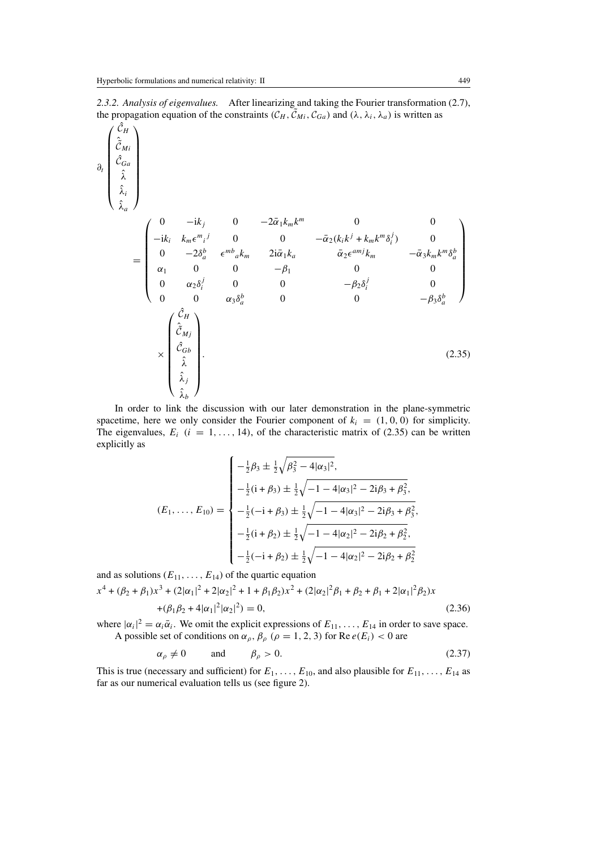*2.3.2. Analysis of eigenvalues.* After linearizing and taking the Fourier transformation (2.7), the propagation equation of the constraints  $(C_H, \tilde{C}_{Mi}, C_{Ga})$  and  $(\lambda, \lambda_i, \lambda_a)$  is written as

$$
\partial_{t} \begin{pmatrix} \hat{C}_{H} \\ \hat{C}_{Ga} \\ \hat{\lambda}_{\hat{\alpha}} \\ \hat{\lambda}_{\hat{\alpha}} \end{pmatrix}
$$
\n
$$
= \begin{pmatrix}\n0 & -ik_{j} & 0 & -2\bar{\alpha}_{1}k_{m}k^{m} & 0 & 0 \\
-ik_{i} & k_{m}\epsilon^{m}{}_{j} & 0 & 0 & -\bar{\alpha}_{2}(k_{i}k^{j} + k_{m}k^{m}\delta_{i}^{j}) & 0 \\
0 & -2\delta_{a}^{b} & \epsilon^{m}{}_{a}k_{m} & 2i\bar{\alpha}_{1}k_{a} & \bar{\alpha}_{2}\epsilon^{amj}k_{m} & -\bar{\alpha}_{3}k_{m}k^{m}\delta_{a}^{b} \\
\alpha_{1} & 0 & 0 & -\beta_{1} & 0 & 0 \\
0 & \alpha_{2}\delta_{i}^{j} & 0 & 0 & -\beta_{2}\delta_{i}^{j} & 0 \\
0 & 0 & \alpha_{3}\delta_{a}^{b} & 0 & 0 & -\beta_{3}\delta_{a}^{b}\n\end{pmatrix}
$$
\n
$$
\times \begin{pmatrix}\n\hat{C}_{H} \\
\hat{C}_{Gb} \\
\hat{\lambda}_{j} \\
\hat{\lambda}_{j}\n\end{pmatrix}.
$$
\n(2.35)

In order to link the discussion with our later demonstration in the plane-symmetric spacetime, here we only consider the Fourier component of  $k_i = (1, 0, 0)$  for simplicity. The eigenvalues,  $E_i$  ( $i = 1, ..., 14$ ), of the characteristic matrix of (2.35) can be written explicitly as

$$
(E_1, ..., E_{10}) = \begin{cases}\n-\frac{1}{2}\beta_3 \pm \frac{1}{2}\sqrt{\beta_3^2 - 4|\alpha_3|^2}, \\
-\frac{1}{2}(i + \beta_3) \pm \frac{1}{2}\sqrt{-1 - 4|\alpha_3|^2 - 2i\beta_3 + \beta_3^2}, \\
-\frac{1}{2}(-i + \beta_3) \pm \frac{1}{2}\sqrt{-1 - 4|\alpha_3|^2 - 2i\beta_3 + \beta_3^2}, \\
-\frac{1}{2}(i + \beta_2) \pm \frac{1}{2}\sqrt{-1 - 4|\alpha_2|^2 - 2i\beta_2 + \beta_2^2}, \\
-\frac{1}{2}(-i + \beta_2) \pm \frac{1}{2}\sqrt{-1 - 4|\alpha_2|^2 - 2i\beta_2 + \beta_2^2}\n\end{cases}
$$

and as solutions  $(E_{11},\ldots,E_{14})$  of the quartic equation  $x^4 + (\beta_2 + \beta_1)x^3 + (2|\alpha_1|^2 + 2|\alpha_2|^2 + 1 + \beta_1\beta_2)x^2 + (2|\alpha_2|^2\beta_1 + \beta_2 + \beta_1 + 2|\alpha_1|^2\beta_2)x$  $+(\beta_1\beta_2 + 4|\alpha_1|^2|\alpha_2|^2) = 0,$  (2.36)

where  $|\alpha_i|^2 = \alpha_i \bar{\alpha}_i$ . We omit the explicit expressions of  $E_{11}, \ldots, E_{14}$  in order to save space. A possible set of conditions on  $\alpha_{\rho}$ ,  $\beta_{\rho}$  ( $\rho = 1, 2, 3$ ) for Re  $e(E_i) < 0$  are

$$
\alpha_{\rho} \neq 0 \qquad \text{and} \qquad \beta_{\rho} > 0. \tag{2.37}
$$

This is true (necessary and sufficient) for  $E_1, \ldots, E_{10}$ , and also plausible for  $E_{11}, \ldots, E_{14}$  as far as our numerical evaluation tells us (see figure 2).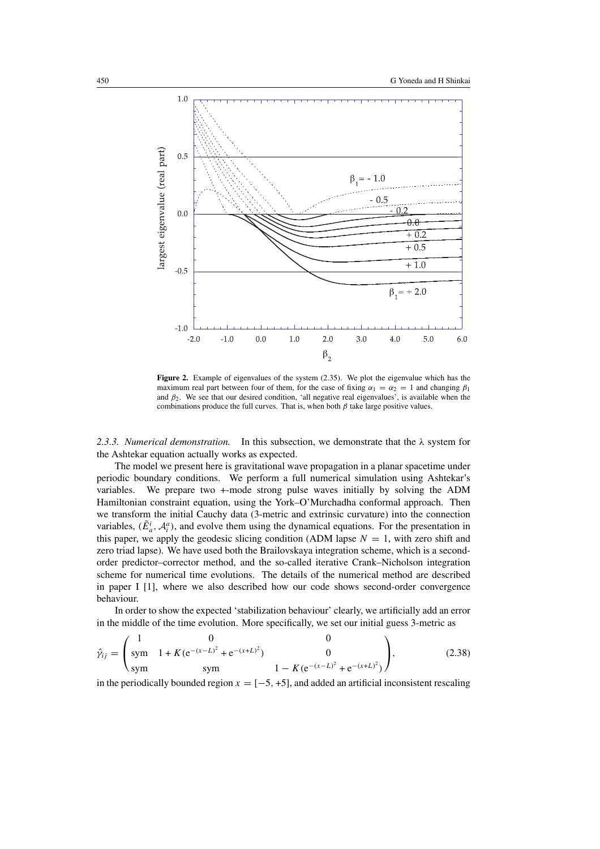

**Figure 2.** Example of eigenvalues of the system  $(2.35)$ . We plot the eigenvalue which has the maximum real part between four of them, for the case of fixing  $\alpha_1 = \alpha_2 = 1$  and changing  $\beta_1$ and  $\beta_2$ . We see that our desired condition, 'all negative real eigenvalues', is available when the combinations produce the full curves. That is, when both  $\beta$  take large positive values.

*2.3.3. Numerical demonstration.* In this subsection, we demonstrate that the λ system for the Ashtekar equation actually works as expected.

The model we present here is gravitational wave propagation in a planar spacetime under periodic boundary conditions. We perform a full numerical simulation using Ashtekar's variables. We prepare two +-mode strong pulse waves initially by solving the ADM Hamiltonian constraint equation, using the York–O'Murchadha conformal approach. Then we transform the initial Cauchy data (3-metric and extrinsic curvature) into the connection variables,  $(\tilde{E}_a^i, \mathcal{A}_i^a)$ , and evolve them using the dynamical equations. For the presentation in this paper, we apply the geodesic slicing condition (ADM lapse  $N = 1$ , with zero shift and zero triad lapse). We have used both the Brailovskaya integration scheme, which is a secondorder predictor–corrector method, and the so-called iterative Crank–Nicholson integration scheme for numerical time evolutions. The details of the numerical method are described in paper I [1], where we also described how our code shows second-order convergence behaviour.

In order to show the expected 'stabilization behaviour' clearly, we artificially add an error in the middle of the time evolution. More specifically, we set our initial guess 3-metric as

$$
\hat{\gamma}_{ij} = \begin{pmatrix} 1 & 0 & 0 \\ \text{sym} & 1 + K(e^{-(x-L)^2} + e^{-(x+L)^2}) & 0 \\ \text{sym} & \text{sym} & 1 - K(e^{-(x-L)^2} + e^{-(x+L)^2}) \end{pmatrix},
$$
(2.38)

in the periodically bounded region  $x = [-5, +5]$ , and added an artificial inconsistent rescaling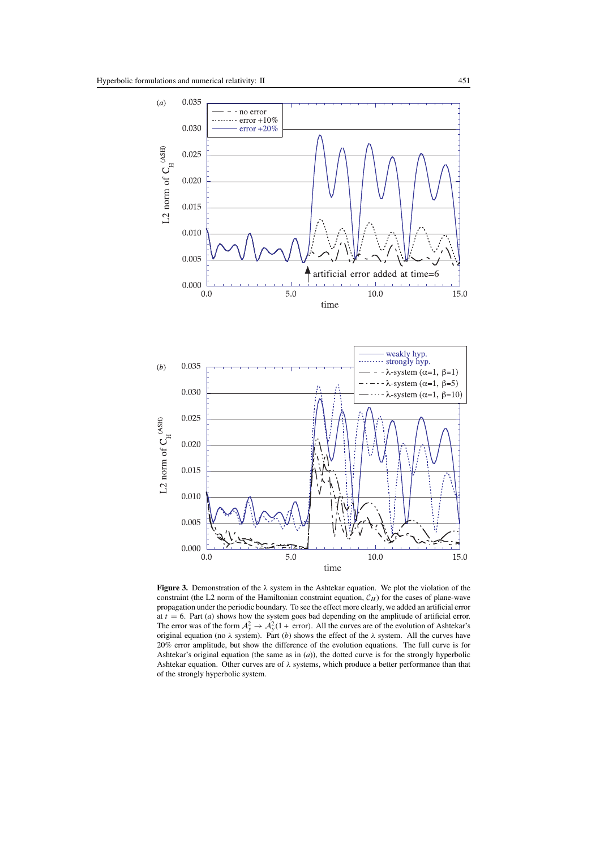

**Figure 3.** Demonstration of the λ system in the Ashtekar equation. We plot the violation of the constraint (the L2 norm of the Hamiltonian constraint equation,  $C_H$ ) for the cases of plane-wave propagation under the periodic boundary. To see the effect more clearly, we added an artificial error at  $t = 6$ . Part (*a*) shows how the system goes bad depending on the amplitude of artificial error. The error was of the form  $A_y^2 \rightarrow A_y^2(1 + \text{ error})$ . All the curves are of the evolution of Ashtekar's original equation (no  $\lambda$  system). Part (*b*) shows the effect of the  $\lambda$  system. All the curves have 20% error amplitude, but show the difference of the evolution equations. The full curve is for Ashtekar's original equation (the same as in (*a*)), the dotted curve is for the strongly hyperbolic Ashtekar equation. Other curves are of λ systems, which produce a better performance than that of the strongly hyperbolic system.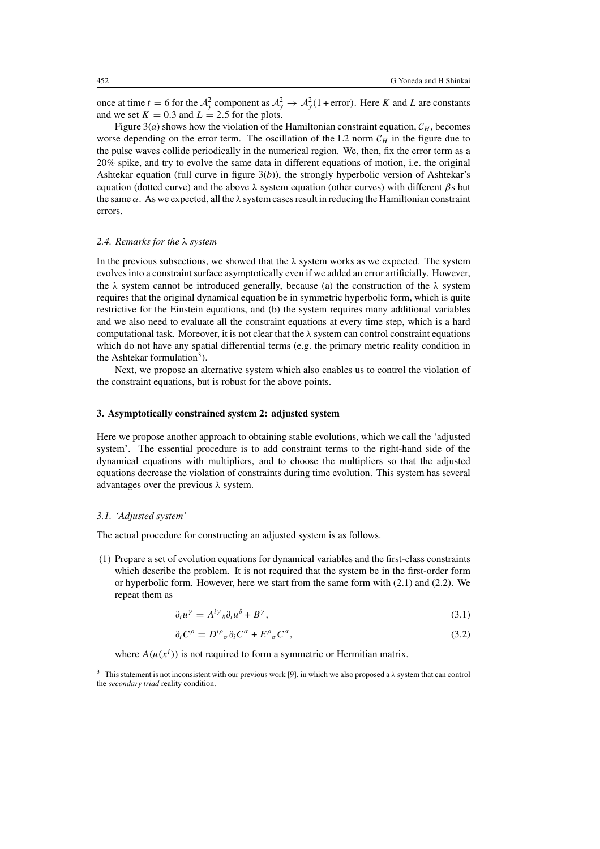once at time  $t = 6$  for the  $\mathcal{A}_y^2$  component as  $\mathcal{A}_y^2 \to \mathcal{A}_y^2(1 + \text{error})$ . Here K and L are constants and we set  $K = 0.3$  and  $L = 2.5$  for the plots.

Figure 3(*a*) shows how the violation of the Hamiltonian constraint equation,  $C_H$ , becomes worse depending on the error term. The oscillation of the L2 norm  $C_H$  in the figure due to the pulse waves collide periodically in the numerical region. We, then, fix the error term as a 20% spike, and try to evolve the same data in different equations of motion, i.e. the original Ashtekar equation (full curve in figure 3(*b*)), the strongly hyperbolic version of Ashtekar's equation (dotted curve) and the above  $\lambda$  system equation (other curves) with different  $\beta s$  but the same  $\alpha$ . As we expected, all the  $\lambda$  system cases result in reducing the Hamiltonian constraint errors.

#### *2.4. Remarks for the* λ *system*

In the previous subsections, we showed that the  $\lambda$  system works as we expected. The system evolves into a constraint surface asymptotically even if we added an error artificially. However, the  $\lambda$  system cannot be introduced generally, because (a) the construction of the  $\lambda$  system requires that the original dynamical equation be in symmetric hyperbolic form, which is quite restrictive for the Einstein equations, and (b) the system requires many additional variables and we also need to evaluate all the constraint equations at every time step, which is a hard computational task. Moreover, it is not clear that the  $\lambda$  system can control constraint equations which do not have any spatial differential terms (e.g. the primary metric reality condition in the Ashtekar formulation<sup>3</sup>).

Next, we propose an alternative system which also enables us to control the violation of the constraint equations, but is robust for the above points.

## **3. Asymptotically constrained system 2: adjusted system**

Here we propose another approach to obtaining stable evolutions, which we call the 'adjusted system'. The essential procedure is to add constraint terms to the right-hand side of the dynamical equations with multipliers, and to choose the multipliers so that the adjusted equations decrease the violation of constraints during time evolution. This system has several advantages over the previous  $\lambda$  system.

### *3.1. 'Adjusted system'*

The actual procedure for constructing an adjusted system is as follows.

(1) Prepare a set of evolution equations for dynamical variables and the first-class constraints which describe the problem. It is not required that the system be in the first-order form or hyperbolic form. However, here we start from the same form with (2.1) and (2.2). We repeat them as

$$
\partial_t u^\gamma = A^{i\gamma}{}_\delta \partial_i u^\delta + B^\gamma,\tag{3.1}
$$

$$
\partial_t C^\rho = D^{i\rho}{}_\sigma \partial_i C^\sigma + E^\rho{}_\sigma C^\sigma,\tag{3.2}
$$

where  $A(u(x^{i}))$  is not required to form a symmetric or Hermitian matrix.

<sup>&</sup>lt;sup>3</sup> This statement is not inconsistent with our previous work [9], in which we also proposed a  $\lambda$  system that can control the *secondary triad* reality condition.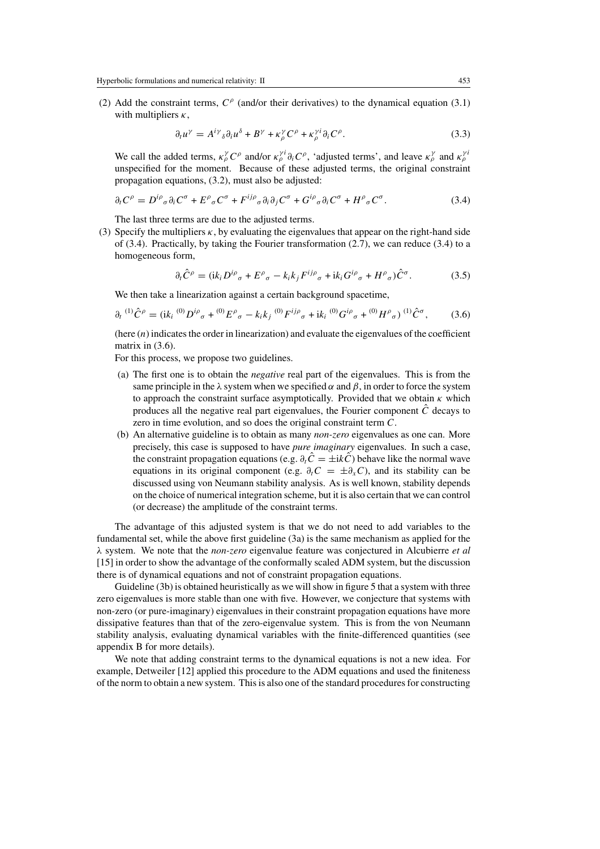(2) Add the constraint terms,  $C^{\rho}$  (and/or their derivatives) to the dynamical equation (3.1) with multipliers  $\kappa$ ,

$$
\partial_t u^\gamma = A^{i\gamma}{}_\delta \partial_i u^\delta + B^\gamma + \kappa^\gamma_\rho C^\rho + \kappa^{\gamma i}_\rho \partial_i C^\rho. \tag{3.3}
$$

We call the added terms,  $\kappa_p^{\gamma} C^{\rho}$  and/or  $\kappa_p^{\gamma i} \partial_i C^{\rho}$ , 'adjusted terms', and leave  $\kappa_p^{\gamma}$  and  $\kappa_p^{\gamma i}$ unspecified for the moment. Because of these adjusted terms, the original constraint propagation equations, (3.2), must also be adjusted:

$$
\partial_t C^\rho = D^{i\rho}{}_\sigma \partial_i C^\sigma + E^\rho{}_\sigma C^\sigma + F^{ij\rho}{}_\sigma \partial_i \partial_j C^\sigma + G^{i\rho}{}_\sigma \partial_i C^\sigma + H^\rho{}_\sigma C^\sigma. \tag{3.4}
$$

The last three terms are due to the adjusted terms.

(3) Specify the multipliers  $\kappa$ , by evaluating the eigenvalues that appear on the right-hand side of  $(3.4)$ . Practically, by taking the Fourier transformation  $(2.7)$ , we can reduce  $(3.4)$  to a homogeneous form,

$$
\partial_t \hat{C}^\rho = (\mathrm{i} k_i D^{i\rho}{}_\sigma + E^\rho{}_\sigma - k_i k_j F^{ij\rho}{}_\sigma + \mathrm{i} k_i G^{i\rho}{}_\sigma + H^\rho{}_\sigma) \hat{C}^\sigma. \tag{3.5}
$$

We then take a linearization against a certain background spacetime,

$$
\partial_t {}^{(1)}\hat{C}^\rho = (\mathrm{i} k_i {}^{(0)}D^{i\rho}{}_\sigma + {}^{(0)}E^\rho{}_\sigma - k_i k_j {}^{(0)}F^{ij\rho}{}_\sigma + \mathrm{i} k_i {}^{(0)}G^{i\rho}{}_\sigma + {}^{(0)}H^\rho{}_\sigma) {}^{(1)}\hat{C}^\sigma, \tag{3.6}
$$

(here  $(n)$  indicates the order in linearization) and evaluate the eigenvalues of the coefficient matrix in  $(3.6)$ .

For this process, we propose two guidelines.

- (a) The first one is to obtain the *negative* real part of the eigenvalues. This is from the same principle in the  $\lambda$  system when we specified  $\alpha$  and  $\beta$ , in order to force the system to approach the constraint surface asymptotically. Provided that we obtain  $\kappa$  which produces all the negative real part eigenvalues, the Fourier component  $\hat{C}$  decays to zero in time evolution, and so does the original constraint term C.
- (b) An alternative guideline is to obtain as many *non-zero* eigenvalues as one can. More precisely, this case is supposed to have *pure imaginary* eigenvalues. In such a case, the constraint propagation equations (e.g.  $\partial_t \hat{C} = \pm i \hat{k} \hat{C}$ ) behave like the normal wave equations in its original component (e.g.  $\partial_t C = \pm \partial_x C$ ), and its stability can be discussed using von Neumann stability analysis. As is well known, stability depends on the choice of numerical integration scheme, but it is also certain that we can control (or decrease) the amplitude of the constraint terms.

The advantage of this adjusted system is that we do not need to add variables to the fundamental set, while the above first guideline (3a) is the same mechanism as applied for the λ system. We note that the *non-zero* eigenvalue feature was conjectured in Alcubierre *et al* [15] in order to show the advantage of the conformally scaled ADM system, but the discussion there is of dynamical equations and not of constraint propagation equations.

Guideline (3b) is obtained heuristically as we will show in figure 5 that a system with three zero eigenvalues is more stable than one with five. However, we conjecture that systems with non-zero (or pure-imaginary) eigenvalues in their constraint propagation equations have more dissipative features than that of the zero-eigenvalue system. This is from the von Neumann stability analysis, evaluating dynamical variables with the finite-differenced quantities (see appendix B for more details).

We note that adding constraint terms to the dynamical equations is not a new idea. For example, Detweiler [12] applied this procedure to the ADM equations and used the finiteness of the norm to obtain a new system. This is also one of the standard procedures for constructing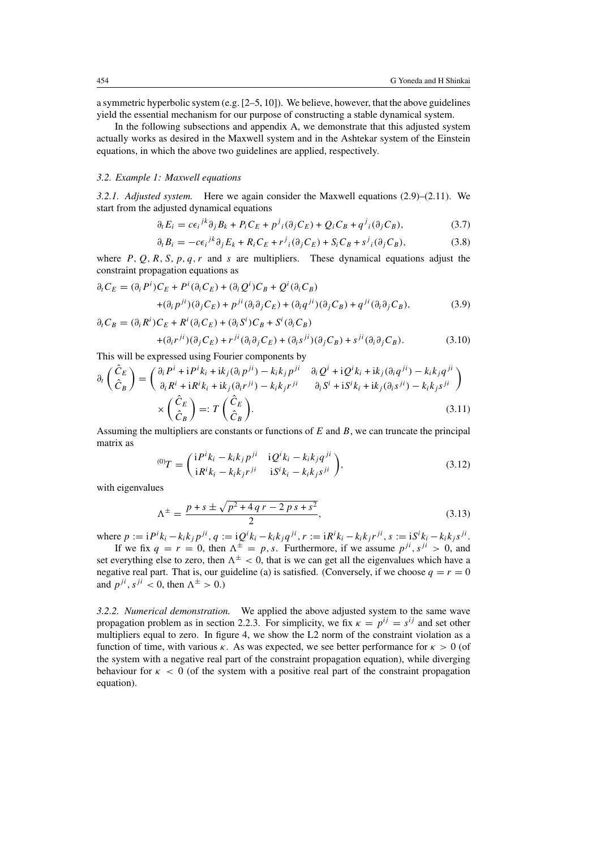a symmetric hyperbolic system (e.g. [2–5, 10]). We believe, however, that the above guidelines yield the essential mechanism for our purpose of constructing a stable dynamical system.

In the following subsections and appendix A, we demonstrate that this adjusted system actually works as desired in the Maxwell system and in the Ashtekar system of the Einstein equations, in which the above two guidelines are applied, respectively.

#### *3.2. Example 1: Maxwell equations*

*3.2.1. Adjusted system.* Here we again consider the Maxwell equations (2.9)–(2.11). We start from the adjusted dynamical equations

$$
\partial_t E_i = c \epsilon_i{}^{jk} \partial_j B_k + P_i C_E + p^j{}_i (\partial_j C_E) + Q_i C_B + q^j{}_i (\partial_j C_B), \tag{3.7}
$$

$$
\partial_t B_i = -c\epsilon_i{}^{jk}\partial_j E_k + R_i C_E + r^j{}_i(\partial_j C_E) + S_i C_B + s^j{}_i(\partial_j C_B),\tag{3.8}
$$

where P, O, R, S, p, q, r and s are multipliers. These dynamical equations adjust the constraint propagation equations as

$$
\partial_t C_E = (\partial_i P^i) C_E + P^i (\partial_i C_E) + (\partial_i Q^i) C_B + Q^i (\partial_i C_B)
$$
  
+ 
$$
(\partial_i P^{ji})(\partial_j C_E) + P^{ji} (\partial_i \partial_j C_E) + (\partial_i q^{ji})(\partial_j C_B) + q^{ji} (\partial_i \partial_j C_B),
$$
  

$$
\partial_t C_B = (\partial_i R^i) C_E + R^i (\partial_i C_E) + (\partial_i S^i) C_B + S^i (\partial_i C_B)
$$
 (3.9)

$$
B = (\partial_i R^i) C_E + R^i (\partial_i C_E) + (\partial_i S^i) C_B + S^i (\partial_i C_B)
$$
  
+ 
$$
(\partial_i r^{ji}) (\partial_j C_E) + r^{ji} (\partial_i \partial_j C_E) + (\partial_i s^{ji}) (\partial_j C_B) + s^{ji} (\partial_i \partial_j C_B).
$$
 (3.10)

This will be expressed using Fourier components by

$$
\partial_t \begin{pmatrix} \hat{C}_E \\ \hat{C}_B \end{pmatrix} = \begin{pmatrix} \partial_i P^i + i P^i k_i + i k_j (\partial_i p^{ji}) - k_i k_j p^{ji} & \partial_i Q^i + i Q^i k_i + i k_j (\partial_i q^{ji}) - k_i k_j q^{ji} \\ \partial_i R^i + i R^i k_i + i k_j (\partial_i r^{ji}) - k_i k_j r^{ji} & \partial_i S^i + i S^i k_i + i k_j (\partial_i s^{ji}) - k_i k_j s^{ji} \end{pmatrix}
$$
  
\n
$$
\times \begin{pmatrix} \hat{C}_E \\ \hat{C}_B \end{pmatrix} =: T \begin{pmatrix} \hat{C}_E \\ \hat{C}_B \end{pmatrix}.
$$
 (3.11)

Assuming the multipliers are constants or functions of  $E$  and  $B$ , we can truncate the principal matrix as

$$
{}^{(0)}T = \begin{pmatrix} iP^{i}k_{i} - k_{i}k_{j}p^{ji} & iQ^{i}k_{i} - k_{i}k_{j}q^{ji} \\ iR^{i}k_{i} - k_{i}k_{j}r^{ji} & iS^{i}k_{i} - k_{i}k_{j}s^{ji} \end{pmatrix},
$$
\n(3.12)

with eigenvalues

$$
\Lambda^{\pm} = \frac{p + s \pm \sqrt{p^2 + 4qr - 2ps + s^2}}{2},\tag{3.13}
$$

where  $p := iP^{i}k_{i} - k_{i}k_{j}p^{ji}$ ,  $q := iQ^{i}k_{i} - k_{i}k_{j}q^{ji}$ ,  $r := iR^{i}k_{i} - k_{i}k_{j}r^{ji}$ ,  $s := iS^{i}k_{i} - k_{i}k_{j}s^{ji}$ .

If we fix  $q = r = 0$ , then  $\Lambda^{\pm} = p$ , s. Furthermore, if we assume  $p^{ji}$ ,  $s^{ji} > 0$ , and set everything else to zero, then  $\Lambda^{\pm} < 0$ , that is we can get all the eigenvalues which have a negative real part. That is, our guideline (a) is satisfied. (Conversely, if we choose  $q = r = 0$ and  $p^{ji}$ ,  $s^{ji}$  < 0, then  $\Lambda^{\pm}$  > 0.)

*3.2.2. Numerical demonstration.* We applied the above adjusted system to the same wave propagation problem as in section 2.2.3. For simplicity, we fix  $\kappa = p^{ij} = s^{ij}$  and set other multipliers equal to zero. In figure 4, we show the L2 norm of the constraint violation as a function of time, with various  $\kappa$ . As was expected, we see better performance for  $\kappa > 0$  (of the system with a negative real part of the constraint propagation equation), while diverging behaviour for  $\kappa < 0$  (of the system with a positive real part of the constraint propagation equation).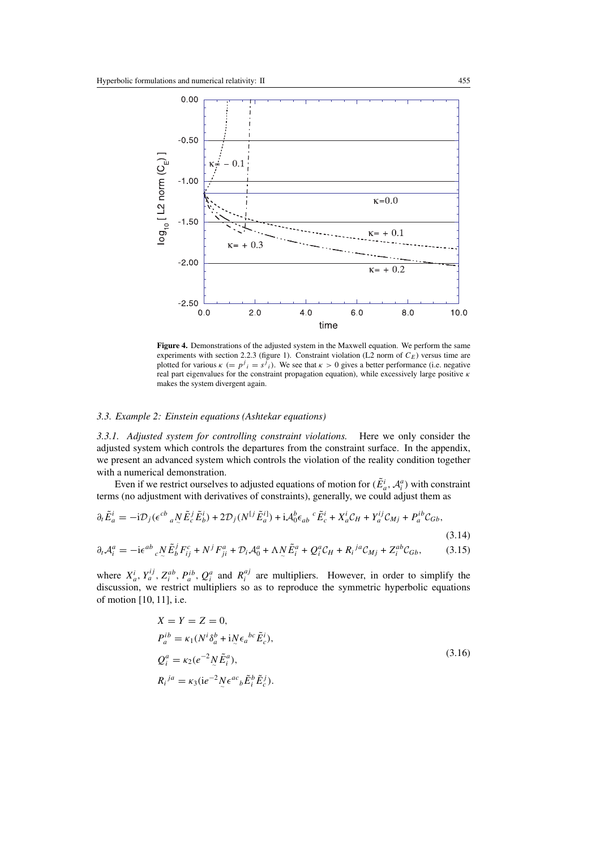

**Figure 4.** Demonstrations of the adjusted system in the Maxwell equation. We perform the same experiments with section 2.2.3 (figure 1). Constraint violation (L2 norm of  $C<sub>E</sub>$ ) versus time are plotted for various  $\kappa (= p^j_i = s^j_i)$ . We see that  $\kappa > 0$  gives a better performance (i.e. negative real part eigenvalues for the constraint propagation equation), while excessively large positive  $\kappa$ makes the system divergent again.

#### *3.3. Example 2: Einstein equations (Ashtekar equations)*

*3.3.1. Adjusted system for controlling constraint violations.* Here we only consider the adjusted system which controls the departures from the constraint surface. In the appendix, we present an advanced system which controls the violation of the reality condition together with a numerical demonstration.

Even if we restrict ourselves to adjusted equations of motion for  $(\tilde{E}^i_a, A^a_i)$  with constraint terms (no adjustment with derivatives of constraints), generally, we could adjust them as

$$
\partial_t \tilde{E}_a^i = -i \mathcal{D}_j (\epsilon^{cb}{}_a \, N \tilde{E}_c^j \tilde{E}_b^i) + 2 \mathcal{D}_j (N^{[j]} \tilde{E}_a^i) + i \mathcal{A}_0^b \epsilon_{ab}{}^c \tilde{E}_c^i + X_a^i \mathcal{C}_H + Y_a^{ij} \mathcal{C}_{Mj} + P_a^{ib} \mathcal{C}_{Gb},
$$
\n(3.14)\n
$$
\partial_t \mathcal{A}_i^a = -i \epsilon^{ab}{}_c \, N \tilde{E}_b^j F_{ij}^c + N^j F_{ji}^a + \mathcal{D}_i \mathcal{A}_0^a + \Lambda N \tilde{E}_i^a + Q_i^a \mathcal{C}_H + R_i^{ja} \mathcal{C}_{Mj} + Z_i^{ab} \mathcal{C}_{Gb},
$$
\n(3.15)

where  $X_a^i$ ,  $Y_a^{ij}$ ,  $Z_i^{ab}$ ,  $P_a^{ib}$ ,  $Q_i^a$  and  $R_i^{aj}$  are multipliers. However, in order to simplify the discussion, we restrict multipliers so as to reproduce the symmetric hyperbolic equations of motion [10, 11], i.e.

$$
X = Y = Z = 0,
$$
  
\n
$$
P_a^{ib} = \kappa_1 (N^i \delta_a^b + i N \epsilon_a^{bc} \tilde{E}_c^i),
$$
  
\n
$$
Q_i^a = \kappa_2 (e^{-2} N \tilde{E}_i^a),
$$
  
\n
$$
R_i^{ja} = \kappa_3 (ie^{-2} N \epsilon_a^{ac} \tilde{E}_i^b \tilde{E}_c^j).
$$
\n(3.16)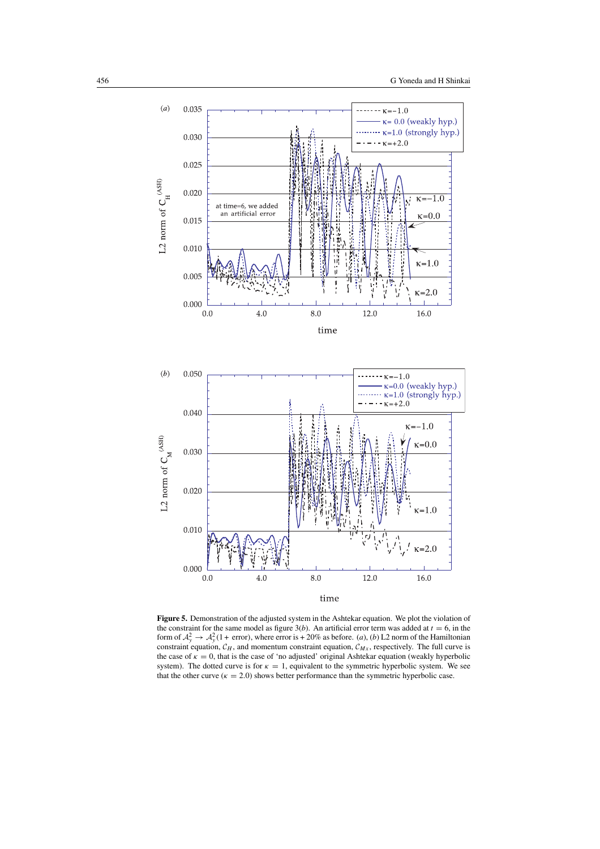

**Figure 5.** Demonstration of the adjusted system in the Ashtekar equation. We plot the violation of the constraint for the same model as figure  $3(b)$ . An artificial error term was added at  $t = 6$ , in the form of  $A_y^2 \rightarrow A_y^2(1 + \text{error})$ , where error is  $+20\%$  as before. (*a*), (*b*) L2 norm of the Hamiltonian constraint equation,  $C_H$ , and momentum constraint equation,  $C_{Mx}$ , respectively. The full curve is the case of  $\kappa = 0$ , that is the case of 'no adjusted' original Ashtekar equation (weakly hyperbolic system). The dotted curve is for  $\kappa = 1$ , equivalent to the symmetric hyperbolic system. We see that the other curve ( $\kappa = 2.0$ ) shows better performance than the symmetric hyperbolic case.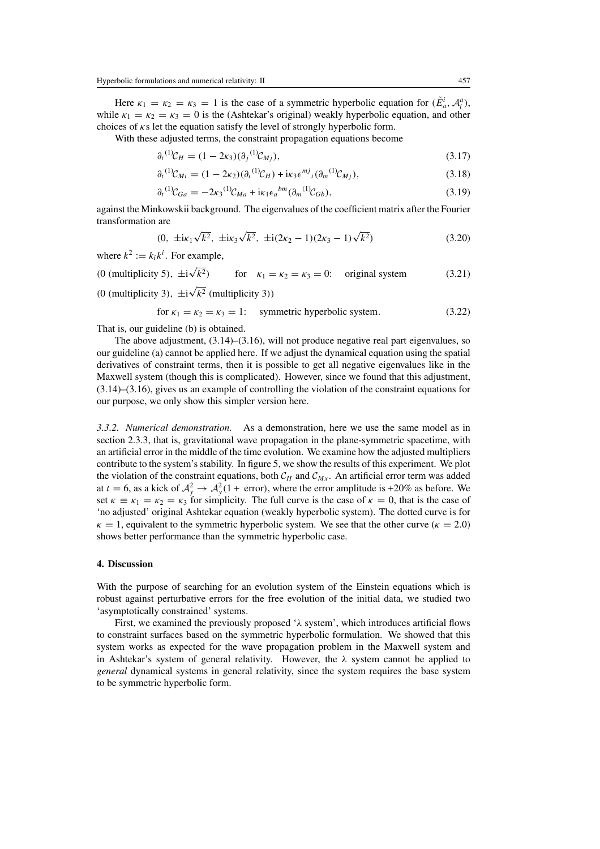Here  $\kappa_1 = \kappa_2 = \kappa_3 = 1$  is the case of a symmetric hyperbolic equation for  $(\tilde{E}_a^i, A_i^a)$ , while  $\kappa_1 = \kappa_2 = \kappa_3 = 0$  is the (Ashtekar's original) weakly hyperbolic equation, and other choices of  $\kappa s$  let the equation satisfy the level of strongly hyperbolic form.

With these adjusted terms, the constraint propagation equations become

$$
\partial_t {}^{(1)}C_H = (1 - 2\kappa_3) (\partial_j {}^{(1)}C_{Mj}), \tag{3.17}
$$

$$
\partial_t{}^{(1)}\mathcal{C}_{Mi} = (1 - 2\kappa_2)(\partial_i{}^{(1)}\mathcal{C}_H) + i\kappa_3 \epsilon^{mj}{}_i(\partial_m{}^{(1)}\mathcal{C}_{Mi}),\tag{3.18}
$$

$$
\partial_t^{(1)} C_{Ga} = -2\kappa_3^{(1)} C_{Ma} + i\kappa_1 \epsilon_a^{bm} (\partial_m^{(1)} C_{Gb}), \tag{3.19}
$$

against the Minkowskii background. The eigenvalues of the coefficient matrix after the Fourier transformation are √ √ √

$$
(0, \ \pm i\kappa_1\sqrt{k^2}, \ \pm i\kappa_3\sqrt{k^2}, \ \pm i(2\kappa_2 - 1)(2\kappa_3 - 1)\sqrt{k^2})
$$
\n(3.20)

where  $k^2 := k_i k^i$ . For example, √

(0 (multiplicity 5),  $\pm i$ for  $\kappa_1 = \kappa_2 = \kappa_3 = 0$ : original system (3.21) √

(0 (multiplicity 3),  $\pm i$  $k^2$  (multiplicity 3))

for 
$$
\kappa_1 = \kappa_2 = \kappa_3 = 1
$$
: symmetric hyperbolic system. (3.22)

That is, our guideline (b) is obtained.

The above adjustment,  $(3.14)$ – $(3.16)$ , will not produce negative real part eigenvalues, so our guideline (a) cannot be applied here. If we adjust the dynamical equation using the spatial derivatives of constraint terms, then it is possible to get all negative eigenvalues like in the Maxwell system (though this is complicated). However, since we found that this adjustment, (3.14)–(3.16), gives us an example of controlling the violation of the constraint equations for our purpose, we only show this simpler version here.

*3.3.2. Numerical demonstration.* As a demonstration, here we use the same model as in section 2.3.3, that is, gravitational wave propagation in the plane-symmetric spacetime, with an artificial error in the middle of the time evolution. We examine how the adjusted multipliers contribute to the system's stability. In figure 5, we show the results of this experiment. We plot the violation of the constraint equations, both  $C_H$  and  $C_{Mx}$ . An artificial error term was added at  $t = 6$ , as a kick of  $A_y^2 \rightarrow A_y^2(1 + \text{ error})$ , where the error amplitude is +20% as before. We set  $\kappa \equiv \kappa_1 = \kappa_2 = \kappa_3$  for simplicity. The full curve is the case of  $\kappa = 0$ , that is the case of 'no adjusted' original Ashtekar equation (weakly hyperbolic system). The dotted curve is for  $\kappa = 1$ , equivalent to the symmetric hyperbolic system. We see that the other curve ( $\kappa = 2.0$ ) shows better performance than the symmetric hyperbolic case.

# **4. Discussion**

With the purpose of searching for an evolution system of the Einstein equations which is robust against perturbative errors for the free evolution of the initial data, we studied two 'asymptotically constrained' systems.

First, we examined the previously proposed ' $\lambda$  system', which introduces artificial flows to constraint surfaces based on the symmetric hyperbolic formulation. We showed that this system works as expected for the wave propagation problem in the Maxwell system and in Ashtekar's system of general relativity. However, the  $\lambda$  system cannot be applied to *general* dynamical systems in general relativity, since the system requires the base system to be symmetric hyperbolic form.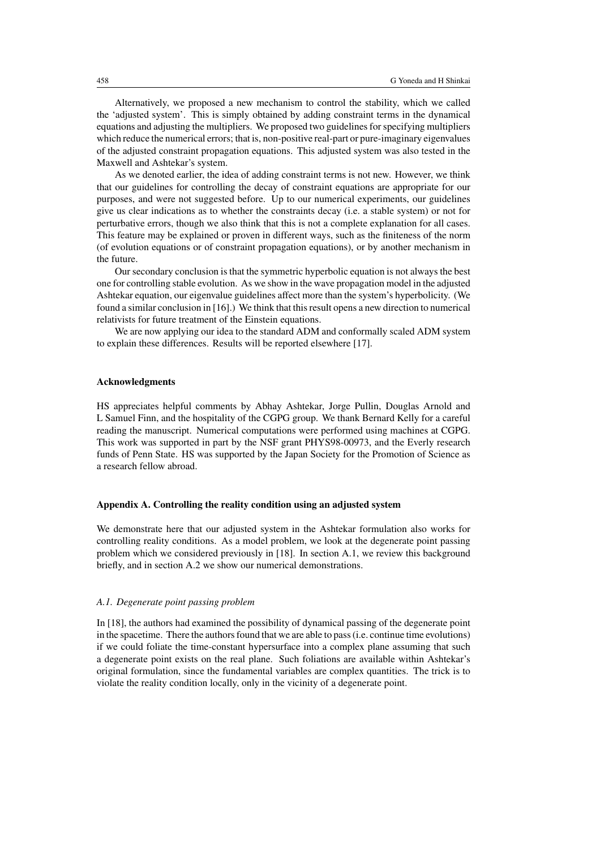Alternatively, we proposed a new mechanism to control the stability, which we called the 'adjusted system'. This is simply obtained by adding constraint terms in the dynamical equations and adjusting the multipliers. We proposed two guidelines for specifying multipliers which reduce the numerical errors; that is, non-positive real-part or pure-imaginary eigenvalues of the adjusted constraint propagation equations. This adjusted system was also tested in the Maxwell and Ashtekar's system.

As we denoted earlier, the idea of adding constraint terms is not new. However, we think that our guidelines for controlling the decay of constraint equations are appropriate for our purposes, and were not suggested before. Up to our numerical experiments, our guidelines give us clear indications as to whether the constraints decay (i.e. a stable system) or not for perturbative errors, though we also think that this is not a complete explanation for all cases. This feature may be explained or proven in different ways, such as the finiteness of the norm (of evolution equations or of constraint propagation equations), or by another mechanism in the future.

Our secondary conclusion is that the symmetric hyperbolic equation is not always the best one for controlling stable evolution. As we show in the wave propagation model in the adjusted Ashtekar equation, our eigenvalue guidelines affect more than the system's hyperbolicity. (We found a similar conclusion in [16].) We think that this result opens a new direction to numerical relativists for future treatment of the Einstein equations.

We are now applying our idea to the standard ADM and conformally scaled ADM system to explain these differences. Results will be reported elsewhere [17].

## **Acknowledgments**

HS appreciates helpful comments by Abhay Ashtekar, Jorge Pullin, Douglas Arnold and L Samuel Finn, and the hospitality of the CGPG group. We thank Bernard Kelly for a careful reading the manuscript. Numerical computations were performed using machines at CGPG. This work was supported in part by the NSF grant PHYS98-00973, and the Everly research funds of Penn State. HS was supported by the Japan Society for the Promotion of Science as a research fellow abroad.

## **Appendix A. Controlling the reality condition using an adjusted system**

We demonstrate here that our adjusted system in the Ashtekar formulation also works for controlling reality conditions. As a model problem, we look at the degenerate point passing problem which we considered previously in [18]. In section A.1, we review this background briefly, and in section A.2 we show our numerical demonstrations.

#### *A.1. Degenerate point passing problem*

In [18], the authors had examined the possibility of dynamical passing of the degenerate point in the spacetime. There the authors found that we are able to pass (i.e. continue time evolutions) if we could foliate the time-constant hypersurface into a complex plane assuming that such a degenerate point exists on the real plane. Such foliations are available within Ashtekar's original formulation, since the fundamental variables are complex quantities. The trick is to violate the reality condition locally, only in the vicinity of a degenerate point.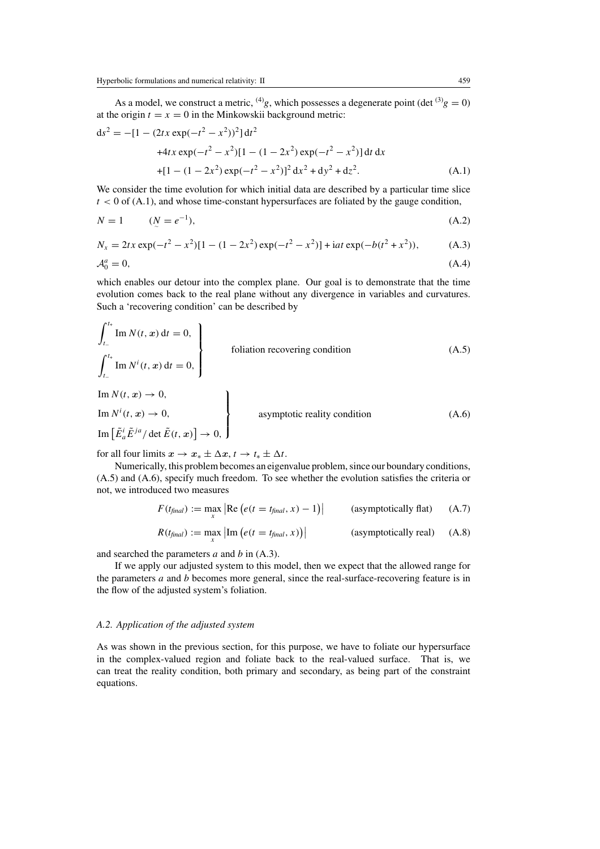As a model, we construct a metric, <sup>(4)</sup>g, which possesses a degenerate point (det <sup>(3)</sup>g = 0) at the origin  $t = x = 0$  in the Minkowskii background metric:

$$
ds^{2} = -[1 - (2tx \exp(-t^{2} - x^{2}))^{2}]dt^{2}
$$
  
+4tx \exp(-t^{2} - x^{2})[1 - (1 - 2x^{2}) \exp(-t^{2} - x^{2})]dt dx  
+[1 - (1 - 2x^{2}) \exp(-t^{2} - x^{2})]^{2} dx^{2} + dy^{2} + dz^{2}. (A.1)

We consider the time evolution for which initial data are described by a particular time slice  $t < 0$  of (A.1), and whose time-constant hypersurfaces are foliated by the gauge condition,

$$
N = 1 \t (N = e^{-1}), \t (A.2)
$$

$$
N_x = 2tx \exp(-t^2 - x^2)[1 - (1 - 2x^2) \exp(-t^2 - x^2)] + iat \exp(-b(t^2 + x^2)),
$$
 (A.3)

$$
\mathcal{A}_0^a = 0,\tag{A.4}
$$

which enables our detour into the complex plane. Our goal is to demonstrate that the time evolution comes back to the real plane without any divergence in variables and curvatures. Such a 'recovering condition' can be described by

$$
\int_{t_{-}}^{t_{+}} \text{Im } N(t, x) dt = 0,
$$
\n
$$
\int_{t_{-}}^{t_{+}} \text{Im } N^{i}(t, x) dt = 0,
$$
\n
$$
\text{In } N(t, x) \to 0,
$$
\n
$$
\text{Im } N^{i}(t, x) \to 0,
$$
\n
$$
\text{Im } \left[ \tilde{E}_{a}^{i} \tilde{E}^{ja} / \det \tilde{E}(t, x) \right] \to 0,
$$
\n
$$
\text{Asymptotic reality condition}
$$
\n(A.6)

for all four limits  $x \to x_* \pm \Delta x$ ,  $t \to t_* \pm \Delta t$ .

Numerically, this problem becomes an eigenvalue problem, since our boundary conditions, (A.5) and (A.6), specify much freedom. To see whether the evolution satisfies the criteria or not, we introduced two measures

$$
F(t_{\text{final}}) := \max_{x} \left| \text{Re} \left( e(t = t_{\text{final}}, x) - 1 \right) \right| \qquad \text{(asymptotically flat)} \tag{A.7}
$$

$$
R(t_{\text{final}}) := \max_{x} |\text{Im} (e(t = t_{\text{final}}, x))|
$$
 (asymptotically real) (A.8)

and searched the parameters  $a$  and  $b$  in  $(A.3)$ .

If we apply our adjusted system to this model, then we expect that the allowed range for the parameters  $a$  and  $b$  becomes more general, since the real-surface-recovering feature is in the flow of the adjusted system's foliation.

## *A.2. Application of the adjusted system*

As was shown in the previous section, for this purpose, we have to foliate our hypersurface in the complex-valued region and foliate back to the real-valued surface. That is, we can treat the reality condition, both primary and secondary, as being part of the constraint equations.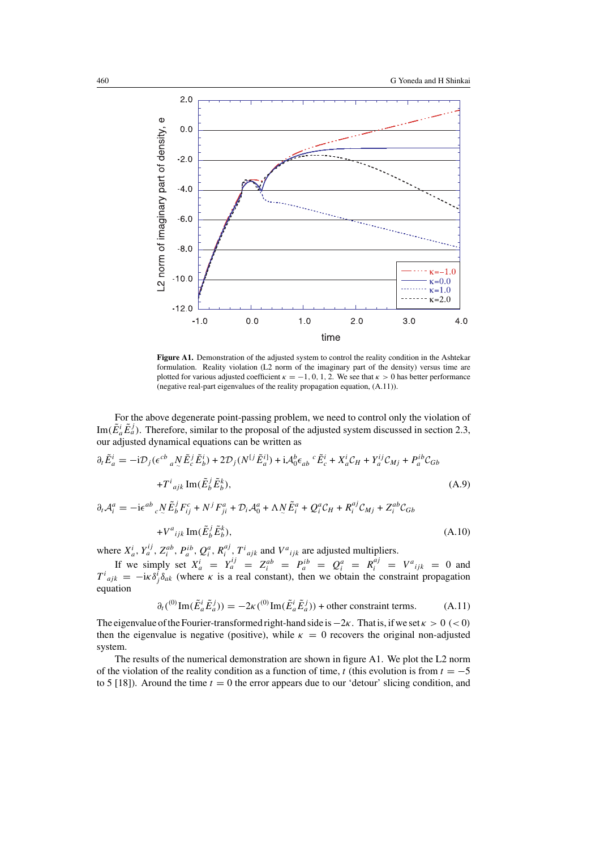

Figure A1. Demonstration of the adjusted system to control the reality condition in the Ashtekar formulation. Reality violation (L2 norm of the imaginary part of the density) versus time are plotted for various adjusted coefficient  $\kappa = -1, 0, 1, 2$ . We see that  $\kappa > 0$  has better performance (negative real-part eigenvalues of the reality propagation equation, (A.11)).

For the above degenerate point-passing problem, we need to control only the violation of Im( $\tilde{E}^i_a \tilde{E}^j_a$ ). Therefore, similar to the proposal of the adjusted system discussed in section 2.3, our adjusted dynamical equations can be written as

$$
\partial_t \tilde{E}_a^i = -i \mathcal{D}_j (\epsilon^{cb}{}_a \underline{N} \tilde{E}_c^j \tilde{E}_b^i) + 2 \mathcal{D}_j (N^{[j]} \tilde{E}_a^{i]}) + i \mathcal{A}_0^b \epsilon_{ab}{}^c \tilde{E}_c^i + X_a^i \mathcal{C}_H + Y_a^{ij} \mathcal{C}_{Mj} + P_a^{ib} \mathcal{C}_{Gb} + T^i{}_{ajk} \operatorname{Im}(\tilde{E}_b^j \tilde{E}_b^k),
$$
\n(A.9)

 $\partial_t A_i^a = -i\epsilon^{ab}{}_c N \tilde{E}_b^j F_{ij}^c + N^j F_{ji}^a + \mathcal{D}_i A_0^a + \Lambda N \tilde{E}_i^a + Q_i^a \mathcal{C}_H + R_i^{aj} \mathcal{C}_{Mj} + Z_i^{ab} \mathcal{C}_{Gb}$ 

$$
+V^a{}_{ijk}\operatorname{Im}(\tilde{E}^j_b\tilde{E}^k_b),\tag{A.10}
$$

where  $X_a^i$ ,  $Y_a^{ij}$ ,  $Z_i^{ab}$ ,  $P_a^{ib}$ ,  $Q_i^a$ ,  $R_i^{aj}$ ,  $T^i{}_{ajk}$  and  $V^a{}_{ijk}$  are adjusted multipliers.

If we simply set  $X_a^i = Y_a^{ij} = Z_i^{ab} = P_a^{ib} = Q_i^a = R_i^{aj} = V^a{}_{ijk} = 0$  and  $T^i{}_{ajk} = -i\kappa\delta^i_j\delta_{ak}$  (where  $\kappa$  is a real constant), then we obtain the constraint propagation equation

$$
\partial_t({}^{(0)}\mathrm{Im}(\tilde{E}_a^i\tilde{E}_a^j)) = -2\kappa({}^{(0)}\mathrm{Im}(\tilde{E}_a^i\tilde{E}_a^j)) + \text{other constraint terms.} \tag{A.11}
$$

The eigenvalue of the Fourier-transformed right-hand side is  $-2\kappa$ . That is, if we set  $\kappa > 0$  (< 0) then the eigenvalue is negative (positive), while  $\kappa = 0$  recovers the original non-adjusted system.

The results of the numerical demonstration are shown in figure A1. We plot the L2 norm of the violation of the reality condition as a function of time, t (this evolution is from  $t = -5$ to 5 [18]). Around the time  $t = 0$  the error appears due to our 'detour' slicing condition, and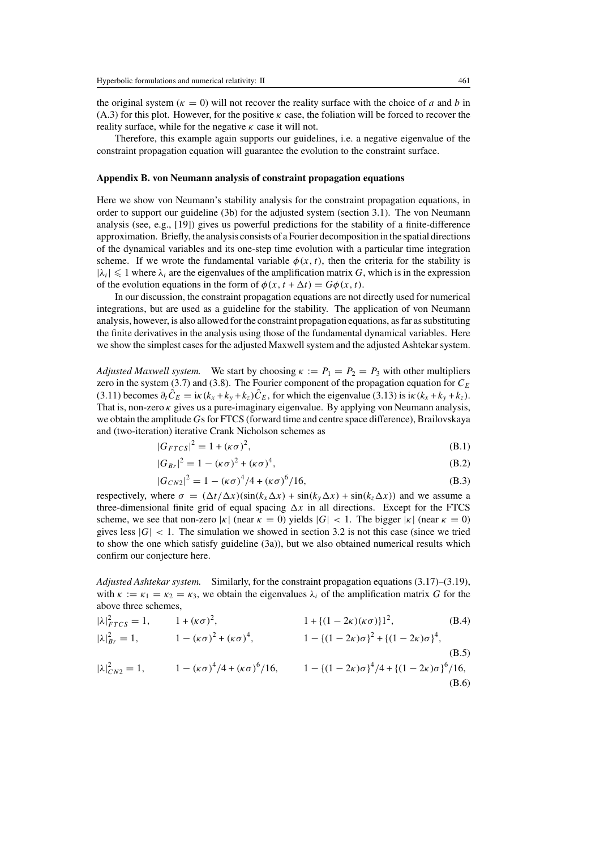the original system ( $\kappa = 0$ ) will not recover the reality surface with the choice of a and b in (A.3) for this plot. However, for the positive  $\kappa$  case, the foliation will be forced to recover the reality surface, while for the negative  $\kappa$  case it will not.

Therefore, this example again supports our guidelines, i.e. a negative eigenvalue of the constraint propagation equation will guarantee the evolution to the constraint surface.

#### **Appendix B. von Neumann analysis of constraint propagation equations**

Here we show von Neumann's stability analysis for the constraint propagation equations, in order to support our guideline (3b) for the adjusted system (section 3.1). The von Neumann analysis (see, e.g., [19]) gives us powerful predictions for the stability of a finite-difference approximation. Briefly, the analysis consists of a Fourier decomposition in the spatial directions of the dynamical variables and its one-step time evolution with a particular time integration scheme. If we wrote the fundamental variable  $\phi(x, t)$ , then the criteria for the stability is  $|\lambda_i| \leq 1$  where  $\lambda_i$  are the eigenvalues of the amplification matrix G, which is in the expression of the evolution equations in the form of  $\phi(x, t + \Delta t) = G\phi(x, t)$ .

In our discussion, the constraint propagation equations are not directly used for numerical integrations, but are used as a guideline for the stability. The application of von Neumann analysis, however, is also allowed for the constraint propagation equations, as far as substituting the finite derivatives in the analysis using those of the fundamental dynamical variables. Here we show the simplest cases for the adjusted Maxwell system and the adjusted Ashtekar system.

*Adjusted Maxwell system.* We start by choosing  $\kappa := P_1 = P_2 = P_3$  with other multipliers zero in the system (3.7) and (3.8). The Fourier component of the propagation equation for  $C_E$ (3.11) becomes  $\partial_t \hat{C}_E = i\kappa (k_x + k_y + k_z)\hat{C}_E$ , for which the eigenvalue (3.13) is  $i\kappa (k_x + k_y + k_z)$ . That is, non-zero  $\kappa$  gives us a pure-imaginary eigenvalue. By applying von Neumann analysis, we obtain the amplitude Gs for FTCS (forward time and centre space difference), Brailovskaya and (two-iteration) iterative Crank Nicholson schemes as

$$
|G_{FTCS}|^2 = 1 + (\kappa \sigma)^2,
$$
 (B.1)

$$
|G_{Br}|^2 = 1 - (\kappa \sigma)^2 + (\kappa \sigma)^4,
$$
 (B.2)

$$
|G_{CN2}|^2 = 1 - (\kappa \sigma)^4 / 4 + (\kappa \sigma)^6 / 16,
$$
 (B.3)

respectively, where  $\sigma = (\Delta t / \Delta x)(\sin(k_x \Delta x) + \sin(k_y \Delta x) + \sin(k_z \Delta x))$  and we assume a three-dimensional finite grid of equal spacing  $\Delta x$  in all directions. Except for the FTCS scheme, we see that non-zero  $|\kappa|$  (near  $\kappa = 0$ ) yields  $|G| < 1$ . The bigger  $|\kappa|$  (near  $\kappa = 0$ ) gives less  $|G| < 1$ . The simulation we showed in section 3.2 is not this case (since we tried to show the one which satisfy guideline (3a)), but we also obtained numerical results which confirm our conjecture here.

*Adjusted Ashtekar system.* Similarly, for the constraint propagation equations (3.17)–(3.19), with  $\kappa := \kappa_1 = \kappa_2 = \kappa_3$ , we obtain the eigenvalues  $\lambda_i$  of the amplification matrix G for the above three schemes,

$$
|\lambda|_{FTCS}^2 = 1, \t 1 + (\kappa \sigma)^2, \t 1 + \{(1 - 2\kappa)(\kappa \sigma)\}1^2, \t (B.4)
$$
  
\n
$$
|\lambda|_{Br}^2 = 1, \t 1 - (\kappa \sigma)^2 + (\kappa \sigma)^4, \t 1 - \{(1 - 2\kappa)\sigma\}^2 + \{(1 - 2\kappa)\sigma\}^4, \t (B.5)
$$
  
\n
$$
|\lambda|_{CN2}^2 = 1, \t 1 - (\kappa \sigma)^4/4 + (\kappa \sigma)^6/16, \t 1 - \{(1 - 2\kappa)\sigma\}^4/4 + \{(1 - 2\kappa)\sigma\}^6/16, \t (B.6)
$$